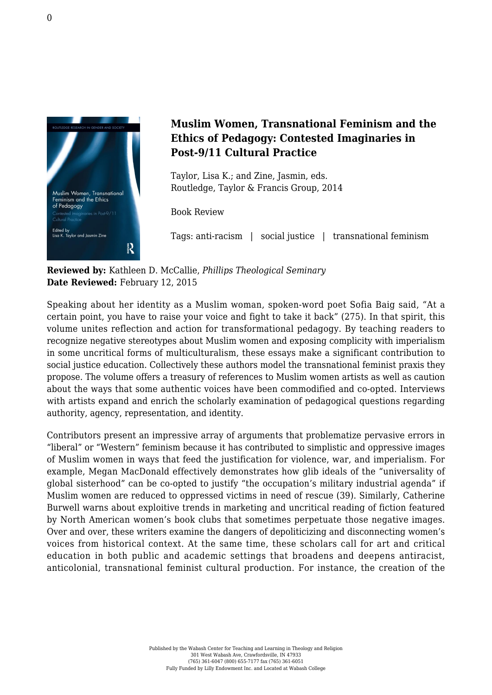

## **Muslim Women, Transnational Feminism and the Ethics of Pedagogy: Contested Imaginaries in Post-9/11 Cultural Practice**

Taylor, Lisa K.; and Zine, Jasmin, eds. [Routledge, Taylor & Francis Group, 2014](http://www.routledge.com/books/details/9780415743532/)

Book Review

Tags: anti-racism | social justice | transnational feminism

**Reviewed by:** Kathleen D. McCallie, *Phillips Theological Seminary* **Date Reviewed:** February 12, 2015

Speaking about her identity as a Muslim woman, spoken-word poet Sofia Baig said, "At a certain point, you have to raise your voice and fight to take it back" (275). In that spirit, this volume unites reflection and action for transformational pedagogy. By teaching readers to recognize negative stereotypes about Muslim women and exposing complicity with imperialism in some uncritical forms of multiculturalism, these essays make a significant contribution to social justice education. Collectively these authors model the transnational feminist praxis they propose. The volume offers a treasury of references to Muslim women artists as well as caution about the ways that some authentic voices have been commodified and co-opted. Interviews with artists expand and enrich the scholarly examination of pedagogical questions regarding authority, agency, representation, and identity.

Contributors present an impressive array of arguments that problematize pervasive errors in "liberal" or "Western" feminism because it has contributed to simplistic and oppressive images of Muslim women in ways that feed the justification for violence, war, and imperialism. For example, Megan MacDonald effectively demonstrates how glib ideals of the "universality of global sisterhood" can be co-opted to justify "the occupation's military industrial agenda" if Muslim women are reduced to oppressed victims in need of rescue (39). Similarly, Catherine Burwell warns about exploitive trends in marketing and uncritical reading of fiction featured by North American women's book clubs that sometimes perpetuate those negative images. Over and over, these writers examine the dangers of depoliticizing and disconnecting women's voices from historical context. At the same time, these scholars call for art and critical education in both public and academic settings that broadens and deepens antiracist, anticolonial, transnational feminist cultural production. For instance, the creation of the